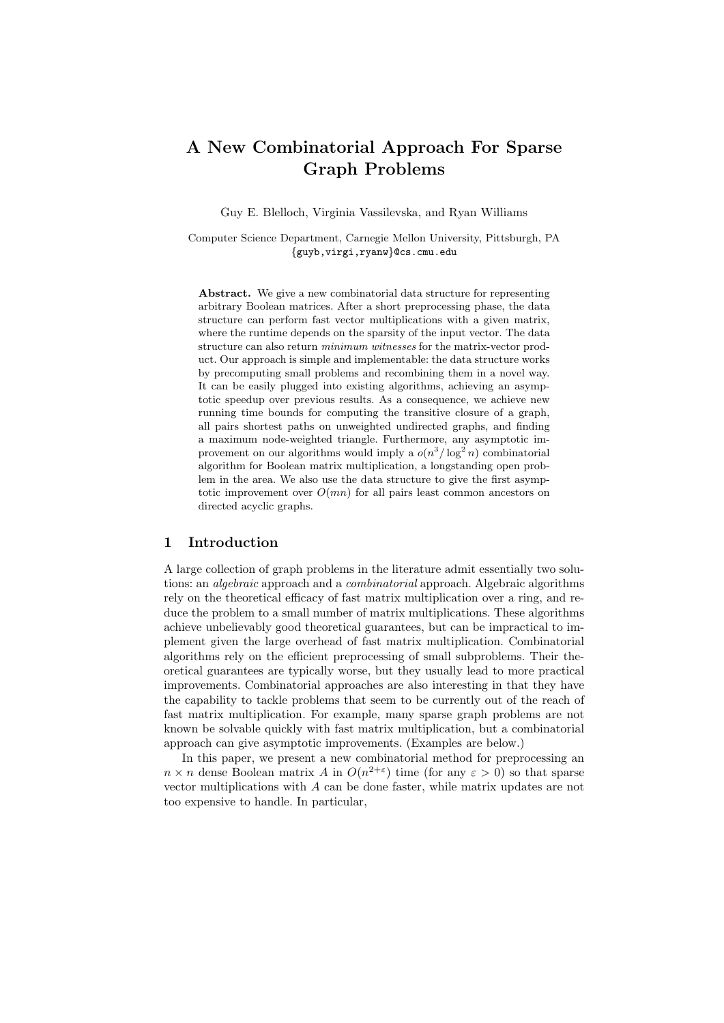# A New Combinatorial Approach For Sparse Graph Problems

Guy E. Blelloch, Virginia Vassilevska, and Ryan Williams

Computer Science Department, Carnegie Mellon University, Pittsburgh, PA {guyb,virgi,ryanw}@cs.cmu.edu

Abstract. We give a new combinatorial data structure for representing arbitrary Boolean matrices. After a short preprocessing phase, the data structure can perform fast vector multiplications with a given matrix, where the runtime depends on the sparsity of the input vector. The data structure can also return minimum witnesses for the matrix-vector product. Our approach is simple and implementable: the data structure works by precomputing small problems and recombining them in a novel way. It can be easily plugged into existing algorithms, achieving an asymptotic speedup over previous results. As a consequence, we achieve new running time bounds for computing the transitive closure of a graph, all pairs shortest paths on unweighted undirected graphs, and finding a maximum node-weighted triangle. Furthermore, any asymptotic improvement on our algorithms would imply a  $o(n^3/\log^2 n)$  combinatorial algorithm for Boolean matrix multiplication, a longstanding open problem in the area. We also use the data structure to give the first asymptotic improvement over  $O(mn)$  for all pairs least common ancestors on directed acyclic graphs.

#### 1 Introduction

A large collection of graph problems in the literature admit essentially two solutions: an *algebraic* approach and a *combinatorial* approach. Algebraic algorithms rely on the theoretical efficacy of fast matrix multiplication over a ring, and reduce the problem to a small number of matrix multiplications. These algorithms achieve unbelievably good theoretical guarantees, but can be impractical to implement given the large overhead of fast matrix multiplication. Combinatorial algorithms rely on the efficient preprocessing of small subproblems. Their theoretical guarantees are typically worse, but they usually lead to more practical improvements. Combinatorial approaches are also interesting in that they have the capability to tackle problems that seem to be currently out of the reach of fast matrix multiplication. For example, many sparse graph problems are not known be solvable quickly with fast matrix multiplication, but a combinatorial approach can give asymptotic improvements. (Examples are below.)

In this paper, we present a new combinatorial method for preprocessing an  $n \times n$  dense Boolean matrix A in  $O(n^{2+\epsilon})$  time (for any  $\epsilon > 0$ ) so that sparse vector multiplications with A can be done faster, while matrix updates are not too expensive to handle. In particular,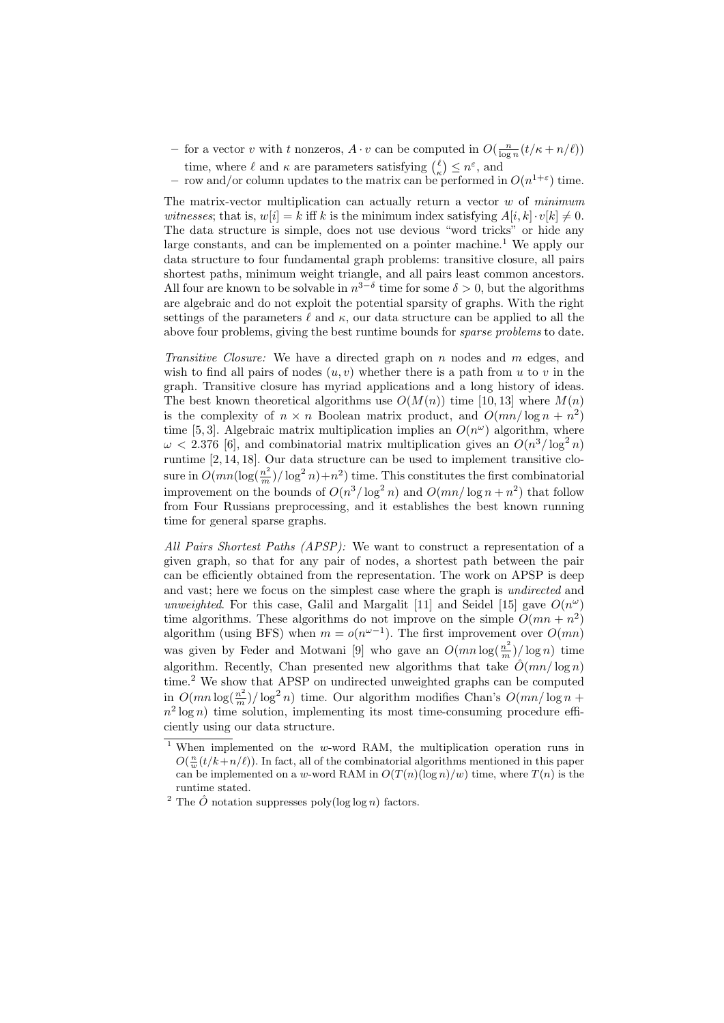- for a vector v with t nonzeros,  $A \cdot v$  can be computed in  $O(\frac{n}{\log n}(t/\kappa + n/\ell))$ time, where  $\ell$  and  $\kappa$  are parameters satisfying  $\binom{\ell}{\kappa} \leq n^{\varepsilon}$ , and
- row and/or column updates to the matrix can be performed in  $O(n^{1+\epsilon})$  time.

The matrix-vector multiplication can actually return a vector  $w$  of  $minimum$ witnesses; that is,  $w[i] = k$  iff k is the minimum index satisfying  $A[i, k] \cdot v[k] \neq 0$ . The data structure is simple, does not use devious "word tricks" or hide any large constants, and can be implemented on a pointer machine.<sup>1</sup> We apply our data structure to four fundamental graph problems: transitive closure, all pairs shortest paths, minimum weight triangle, and all pairs least common ancestors. All four are known to be solvable in  $n^{3-\delta}$  time for some  $\delta > 0$ , but the algorithms are algebraic and do not exploit the potential sparsity of graphs. With the right settings of the parameters  $\ell$  and  $\kappa$ , our data structure can be applied to all the above four problems, giving the best runtime bounds for sparse problems to date.

Transitive Closure: We have a directed graph on n nodes and m edges, and wish to find all pairs of nodes  $(u, v)$  whether there is a path from u to v in the graph. Transitive closure has myriad applications and a long history of ideas. The best known theoretical algorithms use  $O(M(n))$  time [10, 13] where  $M(n)$ is the complexity of  $n \times n$  Boolean matrix product, and  $O(mn/\log n + n^2)$ time [5,3]. Algebraic matrix multiplication implies an  $O(n^{\omega})$  algorithm, where  $\omega$  < 2.376 [6], and combinatorial matrix multiplication gives an  $O(n^3/\log^2 n)$ runtime  $[2, 14, 18]$ . Our data structure can be used to implement transitive closure in  $O(mn(\log(\frac{n^2}{m})/\log^2 n)+n^2)$  time. This constitutes the first combinatorial improvement on the bounds of  $O(n^3/\log^2 n)$  and  $O(mn/\log n + n^2)$  that follow from Four Russians preprocessing, and it establishes the best known running time for general sparse graphs.

All Pairs Shortest Paths (APSP): We want to construct a representation of a given graph, so that for any pair of nodes, a shortest path between the pair can be efficiently obtained from the representation. The work on APSP is deep and vast; here we focus on the simplest case where the graph is undirected and unweighted. For this case, Galil and Margalit [11] and Seidel [15] gave  $O(n^{\omega})$ time algorithms. These algorithms do not improve on the simple  $O(mn + n^2)$ algorithm (using BFS) when  $m = o(n^{\omega-1})$ . The first improvement over  $O(mn)$ was given by Feder and Motwani [9] who gave an  $O(mn\log(\frac{n^2}{m})/\log n)$  time algorithm. Recently, Chan presented new algorithms that take  $\hat{O}(mn/\log n)$ time.<sup>2</sup> We show that APSP on undirected unweighted graphs can be computed in  $O(mn \log(\frac{n^2}{m})/\log^2 n)$  time. Our algorithm modifies Chan's  $O(mn/\log n +$  $n^2 \log n$ ) time solution, implementing its most time-consuming procedure efficiently using our data structure.

<sup>&</sup>lt;sup>1</sup> When implemented on the w-word RAM, the multiplication operation runs in  $O(\frac{n}{w}(t/k+n/\ell))$ . In fact, all of the combinatorial algorithms mentioned in this paper can be implemented on a w-word RAM in  $O(T(n)(\log n)/w)$  time, where  $T(n)$  is the runtime stated.

<sup>&</sup>lt;sup>2</sup> The  $\hat{O}$  notation suppresses poly(log log n) factors.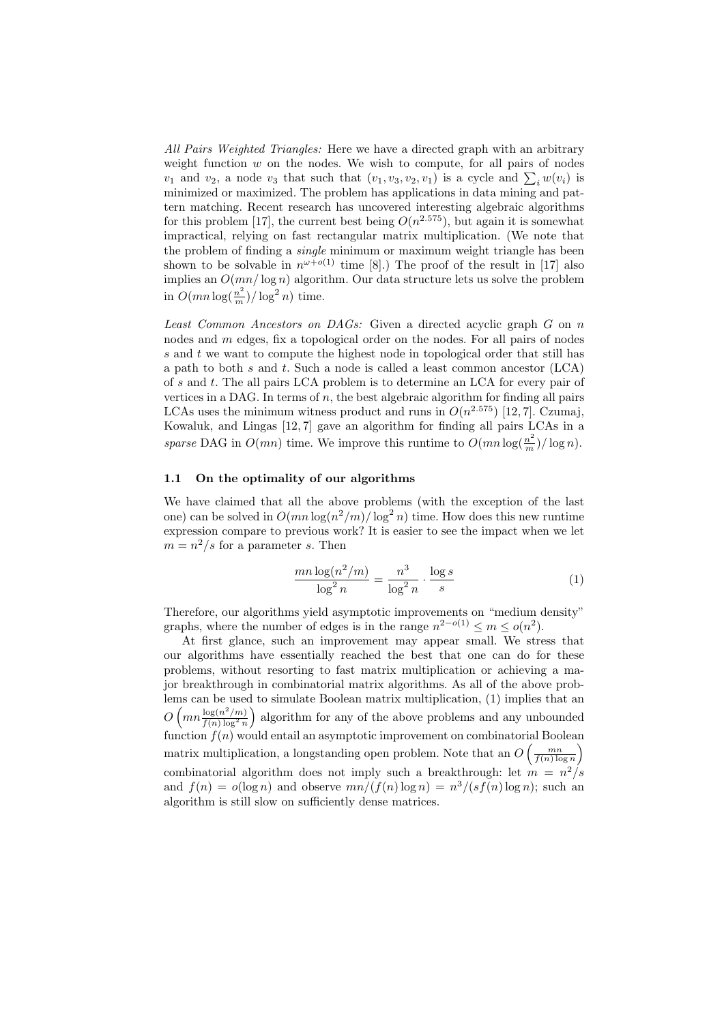All Pairs Weighted Triangles: Here we have a directed graph with an arbitrary weight function  $w$  on the nodes. We wish to compute, for all pairs of nodes  $v_1$  and  $v_2$ , a node  $v_3$  that such that  $(v_1, v_3, v_2, v_1)$  is a cycle and  $\sum_i w(v_i)$  is minimized or maximized. The problem has applications in data mining and pattern matching. Recent research has uncovered interesting algebraic algorithms for this problem [17], the current best being  $O(n^{2.575})$ , but again it is somewhat impractical, relying on fast rectangular matrix multiplication. (We note that the problem of finding a *single* minimum or maximum weight triangle has been shown to be solvable in  $n^{\omega+o(1)}$  time [8].) The proof of the result in [17] also implies an  $O(mn/\log n)$  algorithm. Our data structure lets us solve the problem in  $O(mn\log(\frac{n^2}{m})/\log^2 n)$  time.

Least Common Ancestors on DAGs: Given a directed acyclic graph G on n nodes and  $m$  edges, fix a topological order on the nodes. For all pairs of nodes s and t we want to compute the highest node in topological order that still has a path to both s and t. Such a node is called a least common ancestor  $(LCA)$ of s and t. The all pairs LCA problem is to determine an LCA for every pair of vertices in a DAG. In terms of  $n$ , the best algebraic algorithm for finding all pairs LCAs uses the minimum witness product and runs in  $O(n^{2.575})$  [12, 7]. Czumaj, Kowaluk, and Lingas [12, 7] gave an algorithm for finding all pairs LCAs in a sparse DAG in  $O(mn)$  time. We improve this runtime to  $O(mn \log(\frac{n^2}{m})/\log n)$ .

#### 1.1 On the optimality of our algorithms

We have claimed that all the above problems (with the exception of the last one) can be solved in  $O(mn \log(n^2/m)/\log^2 n)$  time. How does this new runtime expression compare to previous work? It is easier to see the impact when we let  $m = n^2/s$  for a parameter s. Then

$$
\frac{mn\log(n^2/m)}{\log^2 n} = \frac{n^3}{\log^2 n} \cdot \frac{\log s}{s} \tag{1}
$$

Therefore, our algorithms yield asymptotic improvements on "medium density" graphs, where the number of edges is in the range  $n^{2-o(1)} \le m \le o(n^2)$ .

At first glance, such an improvement may appear small. We stress that our algorithms have essentially reached the best that one can do for these problems, without resorting to fast matrix multiplication or achieving a major breakthrough in combinatorial matrix algorithms. As all of the above problems can be used to simulate Boolean matrix multiplication, (1) implies that an  $O\left(mn\frac{\log(n^2/m)}{f(n)\log^2 n}\right)$  $\frac{\log(n^2/m)}{f(n)\log^2 n}$  algorithm for any of the above problems and any unbounded function  $f(n)$  would entail an asymptotic improvement on combinatorial Boolean matrix multiplication, a longstanding open problem. Note that an  $O\left(\frac{mn}{f(n)\log n}\right)$ combinatorial algorithm does not imply such a breakthrough: let  $m = n^2/s$ and  $f(n) = o(\log n)$  and observe  $mn/(f(n) \log n) = n^3/(sf(n) \log n)$ ; such an algorithm is still slow on sufficiently dense matrices.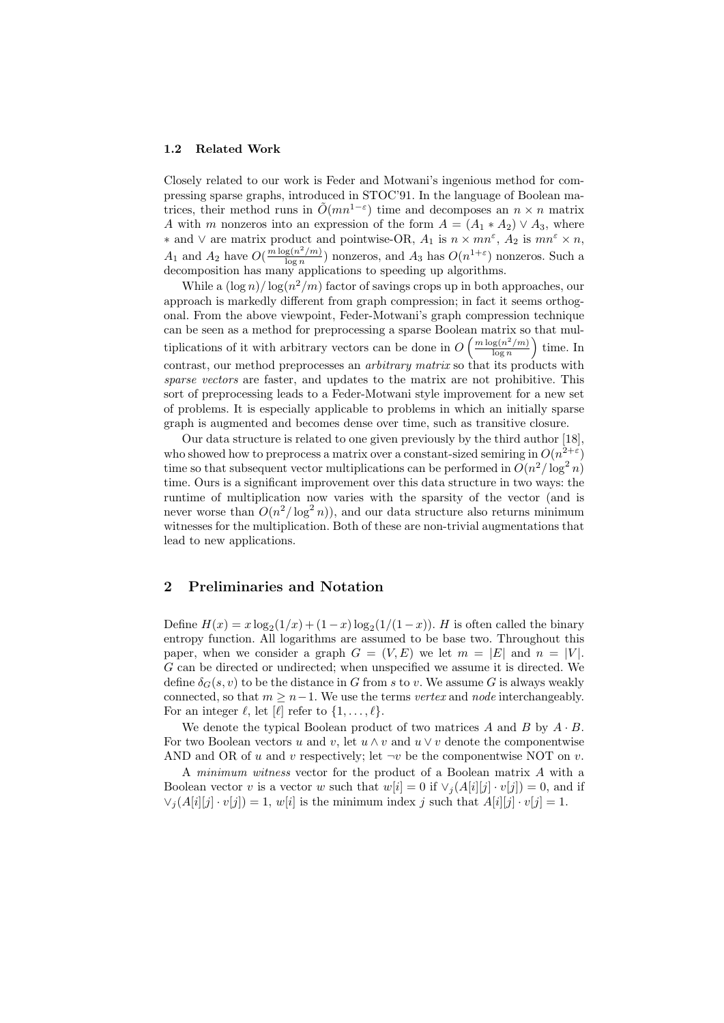#### 1.2 Related Work

Closely related to our work is Feder and Motwani's ingenious method for compressing sparse graphs, introduced in STOC'91. In the language of Boolean matrices, their method runs in  $\tilde{O}(mn^{1-\varepsilon})$  time and decomposes an  $n \times n$  matrix A with m nonzeros into an expression of the form  $A = (A_1 * A_2) \vee A_3$ , where \* and ∨ are matrix product and pointwise-OR,  $A_1$  is  $n \times mn^{\varepsilon}$ ,  $A_2$  is  $mn^{\varepsilon} \times n$ ,  $A_1$  and  $A_2$  have  $O(\frac{m \log(n^2/m)}{\log n})$  $\frac{\log(n^2/m)}{\log n}$ ) nonzeros, and  $A_3$  has  $O(n^{1+\varepsilon})$  nonzeros. Such a decomposition has many applications to speeding up algorithms.

While a  $(\log n)/\log(n^2/m)$  factor of savings crops up in both approaches, our approach is markedly different from graph compression; in fact it seems orthogonal. From the above viewpoint, Feder-Motwani's graph compression technique can be seen as a method for preprocessing a sparse Boolean matrix so that multiplications of it with arbitrary vectors can be done in  $O\left(\frac{m \log(n^2/m)}{\log n}\right)$  $\frac{\log(n^2/m)}{\log n}$  time. In contrast, our method preprocesses an *arbitrary matrix* so that its products with sparse vectors are faster, and updates to the matrix are not prohibitive. This sort of preprocessing leads to a Feder-Motwani style improvement for a new set of problems. It is especially applicable to problems in which an initially sparse graph is augmented and becomes dense over time, such as transitive closure.

Our data structure is related to one given previously by the third author [18], who showed how to preprocess a matrix over a constant-sized semiring in  $O(n^{2+\epsilon})$ time so that subsequent vector multiplications can be performed in  $O(n^2/\log^2 n)$ time. Ours is a significant improvement over this data structure in two ways: the runtime of multiplication now varies with the sparsity of the vector (and is never worse than  $O(n^2/\log^2 n)$ , and our data structure also returns minimum witnesses for the multiplication. Both of these are non-trivial augmentations that lead to new applications.

## 2 Preliminaries and Notation

Define  $H(x) = x \log_2(1/x) + (1-x) \log_2(1/(1-x))$ . H is often called the binary entropy function. All logarithms are assumed to be base two. Throughout this paper, when we consider a graph  $G = (V, E)$  we let  $m = |E|$  and  $n = |V|$ . G can be directed or undirected; when unspecified we assume it is directed. We define  $\delta_G(s, v)$  to be the distance in G from s to v. We assume G is always weakly connected, so that  $m \geq n-1$ . We use the terms vertex and node interchangeably. For an integer  $\ell$ , let  $[\ell]$  refer to  $\{1, \ldots, \ell\}.$ 

We denote the typical Boolean product of two matrices  $A$  and  $B$  by  $A \cdot B$ . For two Boolean vectors u and v, let  $u \wedge v$  and  $u \vee v$  denote the componentwise AND and OR of u and v respectively; let  $\neg v$  be the componentwise NOT on v.

A minimum witness vector for the product of a Boolean matrix A with a Boolean vector v is a vector w such that  $w[i] = 0$  if  $\vee_i (A[i][j] \cdot v[j]) = 0$ , and if  $\vee_i (A[i][j] \cdot v[j]) = 1, w[i]$  is the minimum index j such that  $A[i][j] \cdot v[j] = 1$ .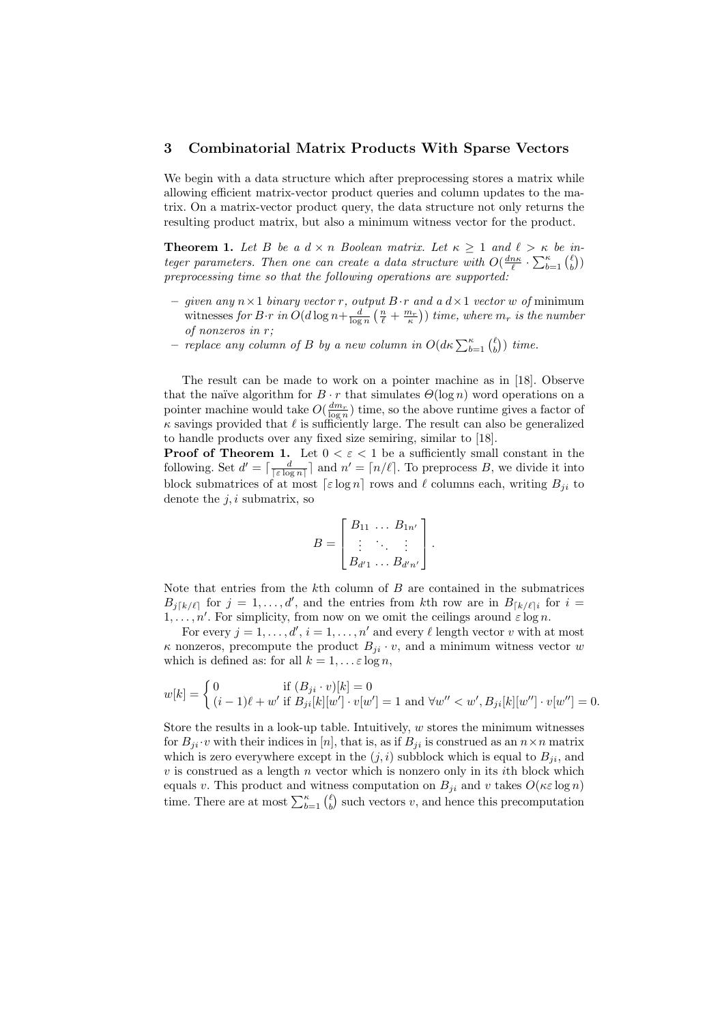#### 3 Combinatorial Matrix Products With Sparse Vectors

We begin with a data structure which after preprocessing stores a matrix while allowing efficient matrix-vector product queries and column updates to the matrix. On a matrix-vector product query, the data structure not only returns the resulting product matrix, but also a minimum witness vector for the product.

**Theorem 1.** Let B be a  $d \times n$  Boolean matrix. Let  $\kappa \geq 1$  and  $\ell > \kappa$  be integer parameters. Then one can create a data structure with  $O(\frac{dn\kappa}{\ell}\cdot \sum_{b=1}^{\kappa} { \ell \choose b})$ preprocessing time so that the following operations are supported:

- given any  $n \times 1$  binary vector r, output  $B \cdot r$  and a  $d \times 1$  vector w of minimum witnesses for B·r in  $O(d \log n + \frac{d}{\log n} \left(\frac{n}{\ell} + \frac{m_r}{\kappa}\right))$  time, where  $m_r$  is the number of nonzeros in r;
- replace any column of B by a new column in  $O(d\kappa \sum_{b=1}^{\kappa} {\ell \choose b})$  time.

The result can be made to work on a pointer machine as in [18]. Observe that the naïve algorithm for  $B \cdot r$  that simulates  $\Theta(\log n)$  word operations on a pointer machine would take  $O(\frac{dm_r}{\log n})$  time, so the above runtime gives a factor of  $\kappa$  savings provided that  $\ell$  is sufficiently large. The result can also be generalized to handle products over any fixed size semiring, similar to [18].

**Proof of Theorem 1.** Let  $0 < \varepsilon < 1$  be a sufficiently small constant in the following. Set  $d' = \lceil \frac{d}{\lceil \varepsilon \log n \rceil} \rceil$  and  $n' = \lceil n/\ell \rceil$ . To preprocess B, we divide it into block submatrices of at most  $\lceil \varepsilon \log n \rceil$  rows and  $\ell$  columns each, writing  $B_{ji}$  to denote the  $j, i$  submatrix, so

$$
B = \begin{bmatrix} B_{11} & \dots & B_{1n'} \\ \vdots & \ddots & \vdots \\ B_{d'1} & \dots & B_{d'n'} \end{bmatrix}.
$$

Note that entries from the  $k$ <sup>th</sup> column of  $B$  are contained in the submatrices  $B_{j[k/\ell]}$  for  $j = 1, ..., d'$ , and the entries from kth row are in  $B_{\lceil k/\ell \rceil i}$  for  $i =$  $1, \ldots, n'$ . For simplicity, from now on we omit the ceilings around  $\varepsilon \log n$ .

For every  $j = 1, \ldots, d', i = 1, \ldots, n'$  and every  $\ell$  length vector v with at most  $\kappa$  nonzeros, precompute the product  $B_{ji} \cdot v$ , and a minimum witness vector w which is defined as: for all  $k = 1, \ldots \varepsilon \log n$ ,

$$
w[k] = \begin{cases} 0 & \text{if } (B_{ji} \cdot v)[k] = 0\\ (i-1)\ell + w' & \text{if } B_{ji}[k][w'] \cdot v[w'] = 1 \text{ and } \forall w'' < w', B_{ji}[k][w''] \cdot v[w''] = 0.\end{cases}
$$

Store the results in a look-up table. Intuitively,  $w$  stores the minimum witnesses for  $B_{ji} \cdot v$  with their indices in [n], that is, as if  $B_{ji}$  is construed as an  $n \times n$  matrix which is zero everywhere except in the  $(j, i)$  subblock which is equal to  $B_{ji}$ , and  $v$  is construed as a length  $n$  vector which is nonzero only in its *i*th block which equals v. This product and witness computation on  $B_{ji}$  and v takes  $O(\kappa \varepsilon \log n)$ time. There are at most  $\sum_{b=1}^{\kappa} {\ell \choose b}$  such vectors v, and hence this precomputation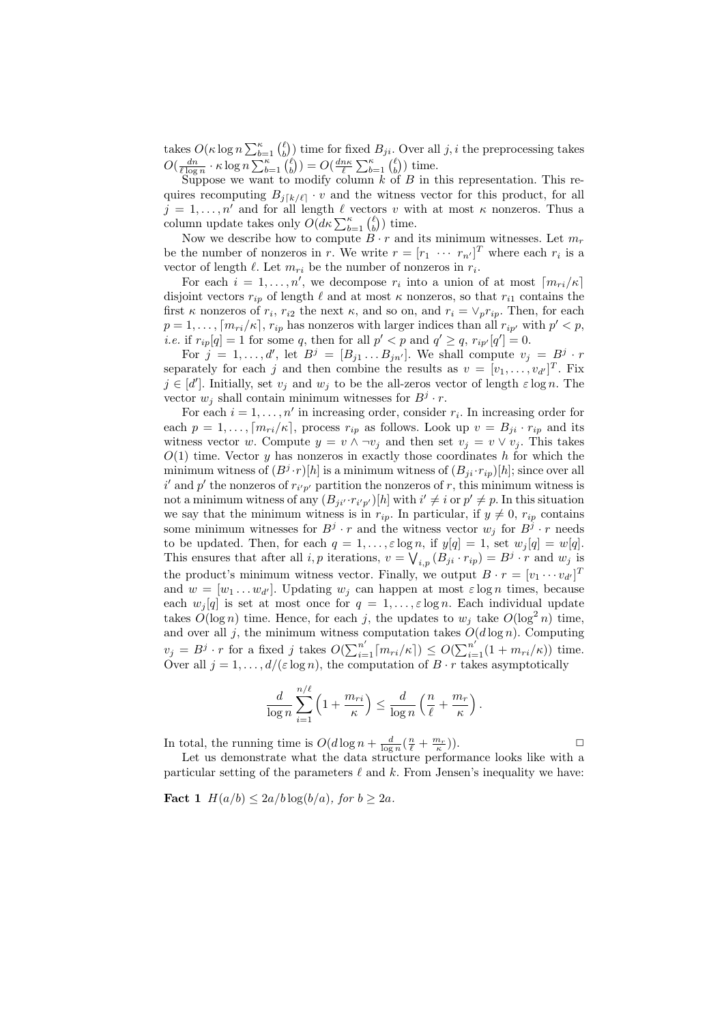takes  $O(\kappa \log n \sum_{b=1}^{\kappa} {\ell \choose b})$  time for fixed  $B_{ji}$ . Over all j, i the preprocessing takes  $O(\frac{dn}{\ell \log n} \cdot \kappa \log n \sum_{b=1}^{\kappa} {\ell \choose b}) = O(\frac{dn\kappa}{\ell} \sum_{b=1}^{\kappa} {\ell \choose b})$  time.

Suppose we want to modify column  $k$  of  $B$  in this representation. This requires recomputing  $B_{i[k/\ell]} \cdot v$  and the witness vector for this product, for all  $j = 1, \ldots, n'$  and for all length  $\ell$  vectors v with at most  $\kappa$  nonzeros. Thus a column update takes only  $O(d\kappa \sum_{b=1}^{\kappa} {l \choose b})$  time.

Now we describe how to compute  $B \cdot r$  and its minimum witnesses. Let  $m_r$ be the number of nonzeros in r. We write  $r = [r_1 \cdots r_{n'}]^T$  where each  $r_i$  is a vector of length  $\ell$ . Let  $m_{ri}$  be the number of nonzeros in  $r_i$ .

For each  $i = 1, ..., n'$ , we decompose  $r_i$  into a union of at most  $\lceil m_{ri}/\kappa \rceil$ disjoint vectors  $r_{ip}$  of length  $\ell$  and at most  $\kappa$  nonzeros, so that  $r_{i1}$  contains the first  $\kappa$  nonzeros of  $r_i$ ,  $r_{i2}$  the next  $\kappa$ , and so on, and  $r_i = \vee_p r_{ip}$ . Then, for each  $p = 1, \ldots, \lceil m_{ri}/\kappa \rceil$ ,  $r_{ip}$  has nonzeros with larger indices than all  $r_{ip'}$  with  $p' < p$ , *i.e.* if  $r_{ip}[q] = 1$  for some q, then for all  $p' < p$  and  $q' \ge q$ ,  $r_{ip'}[q'] = 0$ .

For  $j = 1, \ldots, d'$ , let  $B^j = [B_{j1} \ldots B_{jn'}]$ . We shall compute  $v_j = B^j \cdot r$ separately for each j and then combine the results as  $v = [v_1, \ldots, v_{d'}]^T$ . Fix  $j \in [d']$ . Initially, set  $v_j$  and  $w_j$  to be the all-zeros vector of length  $\varepsilon \log n$ . The vector  $w_j$  shall contain minimum witnesses for  $B^j \cdot r$ .

For each  $i = 1, \ldots, n'$  in increasing order, consider  $r_i$ . In increasing order for each  $p = 1, \ldots, \lceil m_{ri}/\kappa \rceil$ , process  $r_{ip}$  as follows. Look up  $v = B_{ji} \cdot r_{ip}$  and its witness vector w. Compute  $y = v \wedge \neg v_i$  and then set  $v_i = v \vee v_i$ . This takes  $O(1)$  time. Vector y has nonzeros in exactly those coordinates h for which the minimum witness of  $(B<sup>j</sup> \cdot r)[h]$  is a minimum witness of  $(B_{ji} \cdot r_{ip})[h]$ ; since over all i' and p' the nonzeros of  $r_{i'p'}$  partition the nonzeros of r, this minimum witness is not a minimum witness of any  $(B_{ji'} \cdot r_{i'p'})[h]$  with  $i' \neq i$  or  $p' \neq p$ . In this situation we say that the minimum witness is in  $r_{ip}$ . In particular, if  $y \neq 0$ ,  $r_{ip}$  contains some minimum witnesses for  $B^j \cdot r$  and the witness vector  $w_j$  for  $B^j \cdot r$  needs to be updated. Then, for each  $q = 1, \ldots, \varepsilon \log n$ , if  $y[q] = 1$ , set  $w_j[q] = w[q]$ . This ensures that after all *i*, *p* iterations,  $v = \bigvee_{i,p} (B_{ji} \cdot r_{ip}) = B^j \cdot r$  and  $w_j$  is the product's minimum witness vector. Finally, we output  $B \cdot r = [v_1 \cdots v_{d'}]^T$ and  $w = [w_1 \dots w_{d'}]$ . Updating  $w_j$  can happen at most  $\varepsilon \log n$  times, because each  $w_i[q]$  is set at most once for  $q = 1, \ldots, \varepsilon \log n$ . Each individual update takes  $O(\log n)$  time. Hence, for each j, the updates to  $w_j$  take  $O(\log^2 n)$  time, and over all j, the minimum witness computation takes  $O(d \log n)$ . Computing  $v_j = B^j \cdot r$  for a fixed j takes  $O(\sum_{i=1}^{n'} [m_{ri}/\kappa]) \leq O(\sum_{i=1}^{n'} (1 + m_{ri}/\kappa))$  time. Over all  $j = 1, \ldots, d/(\varepsilon \log n)$ , the computation of  $B \cdot r$  takes asymptotically

$$
\frac{d}{\log n} \sum_{i=1}^{n/\ell} \left(1 + \frac{m_{ri}}{\kappa}\right) \le \frac{d}{\log n} \left(\frac{n}{\ell} + \frac{m_r}{\kappa}\right).
$$

In total, the running time is  $O(d \log n + \frac{d}{\log n}(\frac{n}{\ell} + \frac{m_r}{\kappa}))$ .

Let us demonstrate what the data structure performance looks like with a particular setting of the parameters  $\ell$  and k. From Jensen's inequality we have:

Fact 1  $H(a/b) \leq 2a/b \log(b/a)$ , for  $b \geq 2a$ .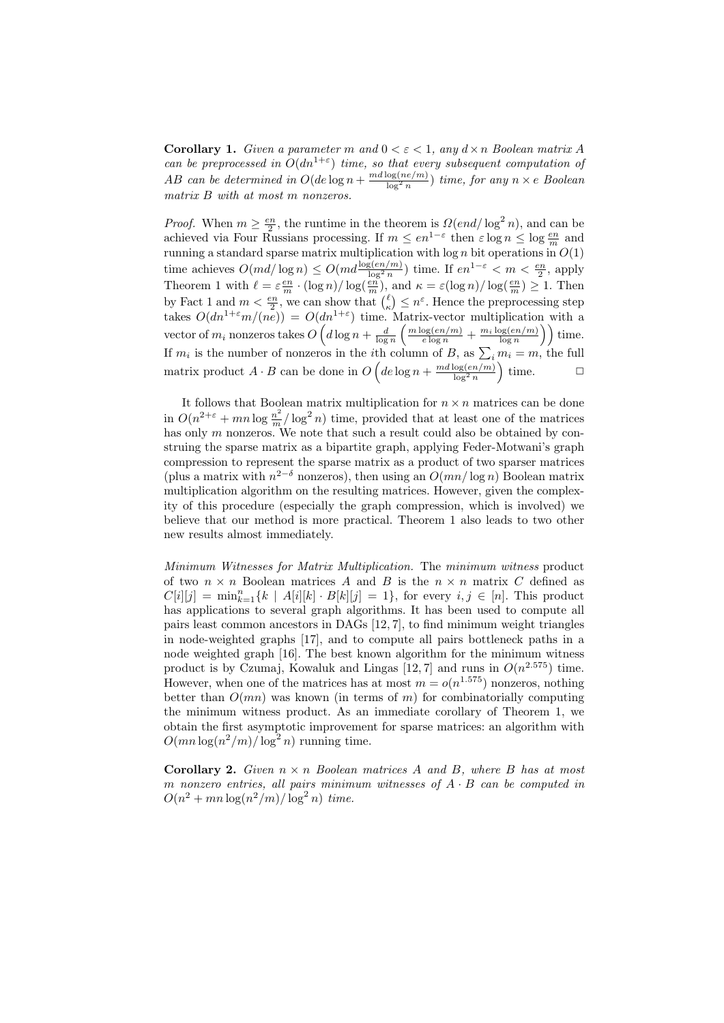**Corollary 1.** Given a parameter m and  $0 < \varepsilon < 1$ , any  $d \times n$  Boolean matrix A can be preprocessed in  $O(dn^{1+\epsilon})$  time, so that every subsequent computation of AB can be determined in  $O(de \log n + \frac{m d \log(n e/m)}{\log^2 n})$  time, for any  $n \times e$  Boolean matrix B with at most m nonzeros.

*Proof.* When  $m \ge \frac{en}{2}$ , the runtime in the theorem is  $\Omega(end/\log^2 n)$ , and can be achieved via Four Russians processing. If  $m \leq en^{1-\varepsilon}$  then  $\varepsilon \log n \leq \log \frac{en}{m}$  and running a standard sparse matrix multiplication with  $\log n$  bit operations in  $O(1)$ time achieves  $O(md/\log n) \leq O(md \frac{\log(en/m)}{\log^2 n})$  time. If  $en^{1-\varepsilon} < m < \frac{en}{2}$ , apply Theorem 1 with  $\ell = \varepsilon \frac{en}{m} \cdot (\log n) / \log(\frac{en}{m})$ , and  $\kappa = \varepsilon (\log n) / \log(\frac{en}{m}) \ge 1$ . Then by Fact 1 and  $m < \frac{en}{2}$ , we can show that  $\binom{\ell}{\kappa} \leq n^{\varepsilon}$ . Hence the preprocessing step takes  $O(dn^{1+\epsilon}m/(n\epsilon)) = O(dn^{1+\epsilon})$  time. Matrix-vector multiplication with a vector of  $m_i$  nonzeros takes  $O\left(d\log n + \frac{d}{\log n}\left(\frac{m\log(en/m)}{e\log n} + \frac{m_i\log(en/m)}{\log n}\right)\right)$  time. If  $m_i$  is the number of nonzeros in the *i*<sup>th</sup> column of B, as  $\sum_i m_i = m$ , the full matrix product  $A \cdot B$  can be done in  $O\left(de \log n + \frac{md \log(en/m)}{\log^2 n}\right)$ time.  $\Box$ 

It follows that Boolean matrix multiplication for  $n\times n$  matrices can be done in  $O(n^{2+\epsilon} + mn \log \frac{n^2}{m} / \log^2 n)$  time, provided that at least one of the matrices has only  $m$  nonzeros. We note that such a result could also be obtained by construing the sparse matrix as a bipartite graph, applying Feder-Motwani's graph compression to represent the sparse matrix as a product of two sparser matrices (plus a matrix with  $n^{2-\delta}$  nonzeros), then using an  $O(mn/\log n)$  Boolean matrix multiplication algorithm on the resulting matrices. However, given the complexity of this procedure (especially the graph compression, which is involved) we believe that our method is more practical. Theorem 1 also leads to two other new results almost immediately.

Minimum Witnesses for Matrix Multiplication. The minimum witness product of two  $n \times n$  Boolean matrices A and B is the  $n \times n$  matrix C defined as  $C[i][j] = \min_{k=1}^{n} \{k \mid A[i][k] \cdot B[k][j] = 1\}$ , for every  $i, j \in [n]$ . This product has applications to several graph algorithms. It has been used to compute all pairs least common ancestors in DAGs [12, 7], to find minimum weight triangles in node-weighted graphs [17], and to compute all pairs bottleneck paths in a node weighted graph [16]. The best known algorithm for the minimum witness product is by Czumaj, Kowaluk and Lingas [12, 7] and runs in  $O(n^{2.575})$  time. However, when one of the matrices has at most  $m = o(n^{1.575})$  nonzeros, nothing better than  $O(mn)$  was known (in terms of m) for combinatorially computing the minimum witness product. As an immediate corollary of Theorem 1, we obtain the first asymptotic improvement for sparse matrices: an algorithm with  $O(mn\log(n^2/m)/\log^2 n)$  running time.

**Corollary 2.** Given  $n \times n$  Boolean matrices A and B, where B has at most m nonzero entries, all pairs minimum witnesses of  $A \cdot B$  can be computed in  $O(n^2 + mn \log(n^2/m) / \log^2 n)$  time.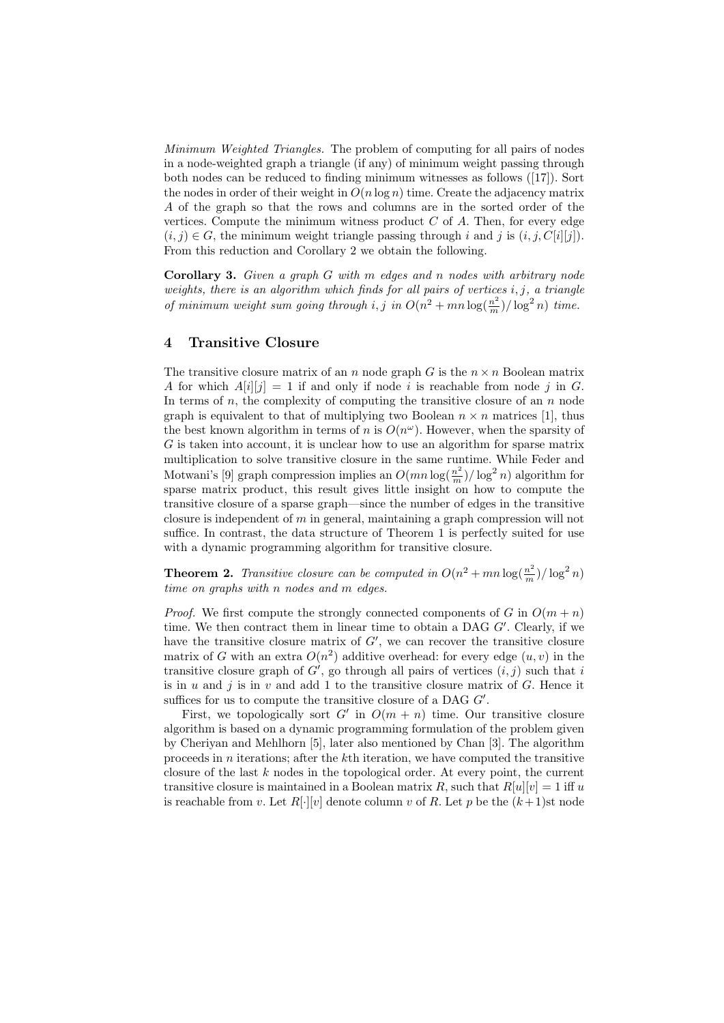Minimum Weighted Triangles. The problem of computing for all pairs of nodes in a node-weighted graph a triangle (if any) of minimum weight passing through both nodes can be reduced to finding minimum witnesses as follows ([17]). Sort the nodes in order of their weight in  $O(n \log n)$  time. Create the adjacency matrix A of the graph so that the rows and columns are in the sorted order of the vertices. Compute the minimum witness product  $C$  of  $A$ . Then, for every edge  $(i, j) \in G$ , the minimum weight triangle passing through i and j is  $(i, j, C[i][j])$ . From this reduction and Corollary 2 we obtain the following.

Corollary 3. Given a graph G with m edges and n nodes with arbitrary node weights, there is an algorithm which finds for all pairs of vertices  $i, j, a$  triangle of minimum weight sum going through  $i, j$  in  $O(n^2 + mn \log(\frac{n^2}{m})/\log^2 n)$  time.

#### 4 Transitive Closure

The transitive closure matrix of an n node graph G is the  $n \times n$  Boolean matrix A for which  $A[i][j] = 1$  if and only if node i is reachable from node j in G. In terms of  $n$ , the complexity of computing the transitive closure of an  $n$  node graph is equivalent to that of multiplying two Boolean  $n \times n$  matrices [1], thus the best known algorithm in terms of n is  $O(n^{\omega})$ . However, when the sparsity of  $G$  is taken into account, it is unclear how to use an algorithm for sparse matrix multiplication to solve transitive closure in the same runtime. While Feder and Motwani's [9] graph compression implies an  $O(mn \log(\frac{n^2}{m})/\log^2 n)$  algorithm for sparse matrix product, this result gives little insight on how to compute the transitive closure of a sparse graph—since the number of edges in the transitive closure is independent of  $m$  in general, maintaining a graph compression will not suffice. In contrast, the data structure of Theorem 1 is perfectly suited for use with a dynamic programming algorithm for transitive closure.

**Theorem 2.** Transitive closure can be computed in  $O(n^2 + mn \log(\frac{n^2}{m})/\log^2 n)$ time on graphs with n nodes and m edges.

*Proof.* We first compute the strongly connected components of G in  $O(m + n)$ time. We then contract them in linear time to obtain a DAG  $G'$ . Clearly, if we have the transitive closure matrix of  $G'$ , we can recover the transitive closure matrix of G with an extra  $O(n^2)$  additive overhead: for every edge  $(u, v)$  in the transitive closure graph of  $G'$ , go through all pairs of vertices  $(i, j)$  such that i is in  $u$  and  $j$  is in  $v$  and add 1 to the transitive closure matrix of  $G$ . Hence it suffices for us to compute the transitive closure of a DAG  $G'$ .

First, we topologically sort  $G'$  in  $O(m + n)$  time. Our transitive closure algorithm is based on a dynamic programming formulation of the problem given by Cheriyan and Mehlhorn [5], later also mentioned by Chan [3]. The algorithm proceeds in  $n$  iterations; after the  $k$ <sup>th</sup> iteration, we have computed the transitive closure of the last  $k$  nodes in the topological order. At every point, the current transitive closure is maintained in a Boolean matrix R, such that  $R[u][v] = 1$  iff u is reachable from v. Let  $R[\cdot][v]$  denote column v of R. Let p be the  $(k+1)$ st node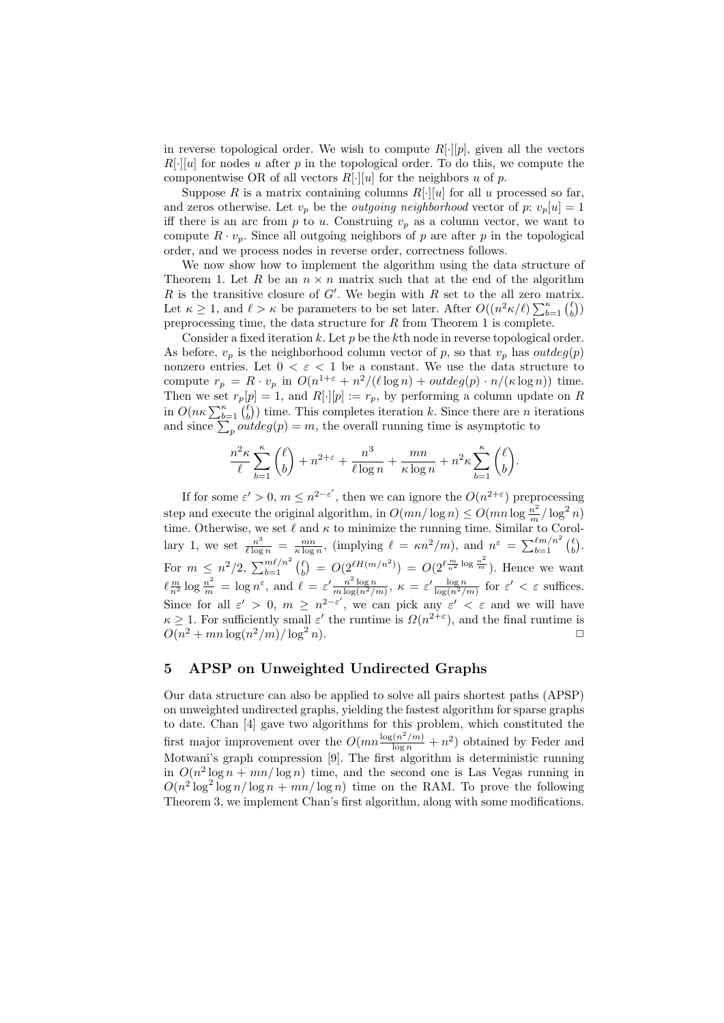in reverse topological order. We wish to compute  $R[\cdot][p]$ , given all the vectors  $R[\cdot][u]$  for nodes u after p in the topological order. To do this, we compute the componentwise OR of all vectors  $R[\cdot][u]$  for the neighbors u of p.

Suppose R is a matrix containing columns  $R[\cdot][u]$  for all u processed so far, and zeros otherwise. Let  $v_p$  be the *outgoing neighborhood* vector of p:  $v_p[u] = 1$ iff there is an arc from  $p$  to  $u$ . Construing  $v_p$  as a column vector, we want to compute  $R \cdot v_p$ . Since all outgoing neighbors of p are after p in the topological order, and we process nodes in reverse order, correctness follows.

We now show how to implement the algorithm using the data structure of Theorem 1. Let R be an  $n \times n$  matrix such that at the end of the algorithm R is the transitive closure of  $G'$ . We begin with R set to the all zero matrix. Let  $\kappa \geq 1$ , and  $\ell > \kappa$  be parameters to be set later. After  $O((n^2 \kappa/\ell) \sum_{b=1}^{\kappa} {\ell \choose b})$ preprocessing time, the data structure for R from Theorem 1 is complete.

Consider a fixed iteration  $k$ . Let  $p$  be the  $k$ th node in reverse topological order. As before,  $v_p$  is the neighborhood column vector of p, so that  $v_p$  has outdeg(p) nonzero entries. Let  $0 < \varepsilon < 1$  be a constant. We use the data structure to compute  $r_p = R \cdot v_p$  in  $O(n^{1+\epsilon} + n^2/(\ell \log n) + outdeg(p) \cdot n/(\kappa \log n))$  time. Then we set  $r_p[p] = 1$ , and  $R[\cdot][p] := r_p$ , by performing a column update on R in  $O(n\kappa \sum_{b=1}^{\kappa} {\binom{\ell}{b}})$  time. This completes iteration k. Since there are n iterations and since  $\sum_{p} outdeg(p) = m$ , the overall running time is asymptotic to

$$
\frac{n^2 \kappa}{\ell} \sum_{b=1}^{\kappa} {\ell \choose b} + n^{2+\epsilon} + \frac{n^3}{\ell \log n} + \frac{mn}{\kappa \log n} + n^2 \kappa \sum_{b=1}^{\kappa} {\ell \choose b}.
$$

If for some  $\varepsilon' > 0$ ,  $m \leq n^{2-\varepsilon'}$ , then we can ignore the  $O(n^{2+\varepsilon})$  preprocessing step and execute the original algorithm, in  $O(mn/\log n) \leq O(mn \log \frac{n^2}{m}/\log^2 n)$ time. Otherwise, we set  $\ell$  and  $\kappa$  to minimize the running time. Similar to Corollary 1, we set  $\frac{n^3}{\ell \log n} = \frac{mn}{\kappa \log n}$ , (implying  $\ell = \kappa n^2/m$ ), and  $n^{\varepsilon} = \sum_{b=1}^{\ell m/n^2} {\ell \choose b}$ . For  $m \leq n^2/2$ ,  $\sum_{b=1}^{m\ell/n^2} {l \choose b} = O(2^{\ell H(m/n^2)}) = O(2^{\ell \frac{m}{n^2} \log \frac{n^2}{m}})$ . Hence we want  $\ell \frac{m}{n^2} \log \frac{n^2}{m} = \log n^{\varepsilon}$ , and  $\ell = \varepsilon' \frac{n^2 \log n}{m \log(n^2/m)}, \ \kappa = \varepsilon' \frac{\log n}{\log(n^2/m)}$  for  $\varepsilon' < \varepsilon$  suffices. Since for all  $\varepsilon' > 0$ ,  $m \geq n^{2-\varepsilon'}$ , we can pick any  $\varepsilon' < \varepsilon$  and we will have  $\kappa \geq 1$ . For sufficiently small  $\varepsilon'$  the runtime is  $\Omega(n^{2+\varepsilon})$ , and the final runtime is  $O(n^2 + mn \log(n^2/m) / \log^2)$  $n$ ).

#### 5 APSP on Unweighted Undirected Graphs

Our data structure can also be applied to solve all pairs shortest paths (APSP) on unweighted undirected graphs, yielding the fastest algorithm for sparse graphs to date. Chan [4] gave two algorithms for this problem, which constituted the first major improvement over the  $O(mn\frac{\log(n^2/m)}{\log n} + n^2)$  obtained by Feder and Motwani's graph compression [9]. The first algorithm is deterministic running in  $O(n^2 \log n + mn/\log n)$  time, and the second one is Las Vegas running in  $O(n^2 \log^2 \log n / \log n + mn / \log n)$  time on the RAM. To prove the following Theorem 3, we implement Chan's first algorithm, along with some modifications.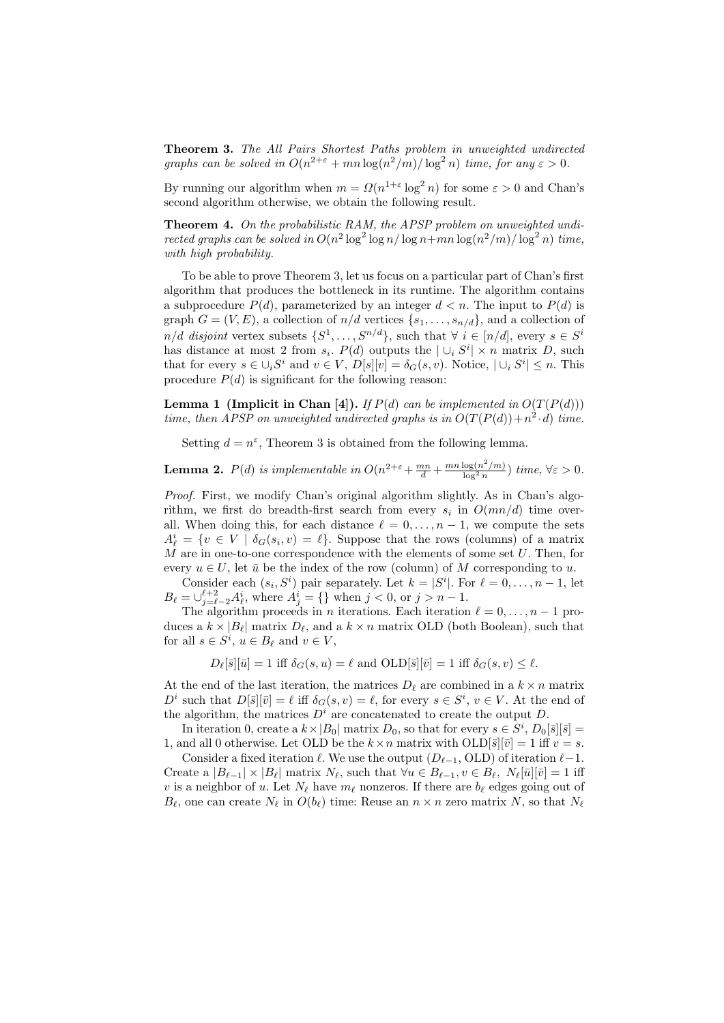Theorem 3. The All Pairs Shortest Paths problem in unweighted undirected graphs can be solved in  $O(n^{2+\varepsilon}+mn\log(n^2/m)/\log^2 n)$  time, for any  $\varepsilon > 0$ .

By running our algorithm when  $m = \Omega(n^{1+\varepsilon} \log^2 n)$  for some  $\varepsilon > 0$  and Chan's second algorithm otherwise, we obtain the following result.

Theorem 4. On the probabilistic RAM, the APSP problem on unweighted undirected graphs can be solved in  $O(n^2 \log^2 \log n / \log n + mn \log(n^2/m) / \log^2 n)$  time, with high probability.

To be able to prove Theorem 3, let us focus on a particular part of Chan's first algorithm that produces the bottleneck in its runtime. The algorithm contains a subprocedure  $P(d)$ , parameterized by an integer  $d < n$ . The input to  $P(d)$  is graph  $G = (V, E)$ , a collection of  $n/d$  vertices  $\{s_1, \ldots, s_{n/d}\}\)$ , and a collection of  $n/d$  disjoint vertex subsets  $\{S^1, \ldots, S^{n/d}\}\$ , such that  $\forall i \in [n/d]$ , every  $s \in S^i$ has distance at most 2 from  $s_i$ .  $P(d)$  outputs the  $\lfloor \bigcup_i S^i \rfloor \times n$  matrix D, such that for every  $s \in \bigcup_i S^i$  and  $v \in V$ ,  $D[s][v] = \delta_G(s, v)$ . Notice,  $|\bigcup_i S^i| \leq n$ . This procedure  $P(d)$  is significant for the following reason:

**Lemma 1 (Implicit in Chan [4]).** If  $P(d)$  can be implemented in  $O(T(P(d)))$ time, then APSP on unweighted undirected graphs is in  $O(T(P(d)) + n^2 \cdot d)$  time.

Setting  $d = n^{\varepsilon}$ , Theorem 3 is obtained from the following lemma.

**Lemma 2.**  $P(d)$  is implementable in  $O(n^{2+\varepsilon} + \frac{mn}{d} + \frac{mn \log(n^2/m)}{\log^2 n})$  $\frac{\log(n/m)}{\log^2 n}$ ) time,  $\forall \varepsilon > 0$ .

Proof. First, we modify Chan's original algorithm slightly. As in Chan's algorithm, we first do breadth-first search from every  $s_i$  in  $O(mn/d)$  time overall. When doing this, for each distance  $\ell = 0, \ldots, n - 1$ , we compute the sets  $A^i_\ell = \{v \in V \mid \delta_G(s_i, v) = \ell\}.$  Suppose that the rows (columns) of a matrix  $M$  are in one-to-one correspondence with the elements of some set  $U$ . Then, for every  $u \in U$ , let  $\bar{u}$  be the index of the row (column) of M corresponding to u.

Consider each  $(s_i, S^i)$  pair separately. Let  $k = |S^i|$ . For  $\ell = 0, \ldots, n - 1$ , let  $B_{\ell} = \bigcup_{j=\ell-2}^{\ell+2} A_{\ell}^{i}$ , where  $A_{j}^{i} = \{\}$  when  $j < 0$ , or  $j > n - 1$ .

The algorithm proceeds in n iterations. Each iteration  $\ell = 0, \ldots, n - 1$  produces a  $k \times |B_{\ell}|$  matrix  $D_{\ell}$ , and a  $k \times n$  matrix OLD (both Boolean), such that for all  $s \in S^i$ ,  $u \in B_\ell$  and  $v \in V$ ,

$$
D_{\ell}[\bar{s}][\bar{u}] = 1
$$
 iff  $\delta_G(s, u) = \ell$  and  $OLD[\bar{s}][\bar{v}] = 1$  iff  $\delta_G(s, v) \leq \ell$ .

At the end of the last iteration, the matrices  $D_\ell$  are combined in a  $k \times n$  matrix  $D^i$  such that  $D[\bar{s}][\bar{v}] = \ell$  iff  $\delta_G(s, v) = \ell$ , for every  $s \in S^i$ ,  $v \in V$ . At the end of the algorithm, the matrices  $D^i$  are concatenated to create the output D.

In iteration 0, create a  $k \times |B_0|$  matrix  $D_0$ , so that for every  $s \in S^i$ ,  $D_0[\bar{s}][\bar{s}] =$ 1, and all 0 otherwise. Let OLD be the  $k \times n$  matrix with  $OLD[\bar{s}][\bar{v}] = 1$  iff  $v = s$ .

Consider a fixed iteration  $\ell$ . We use the output  $(D_{\ell-1}, \text{OLD})$  of iteration  $\ell-1$ . Create a  $|B_{\ell-1}| \times |B_{\ell}|$  matrix  $N_{\ell}$ , such that  $\forall u \in B_{\ell-1}, v \in B_{\ell}$ ,  $N_{\ell}[\bar{u}][\bar{v}] = 1$  iff v is a neighbor of u. Let  $N_\ell$  have  $m_\ell$  nonzeros. If there are  $b_\ell$  edges going out of  $B_{\ell}$ , one can create  $N_{\ell}$  in  $O(b_{\ell})$  time: Reuse an  $n \times n$  zero matrix N, so that  $N_{\ell}$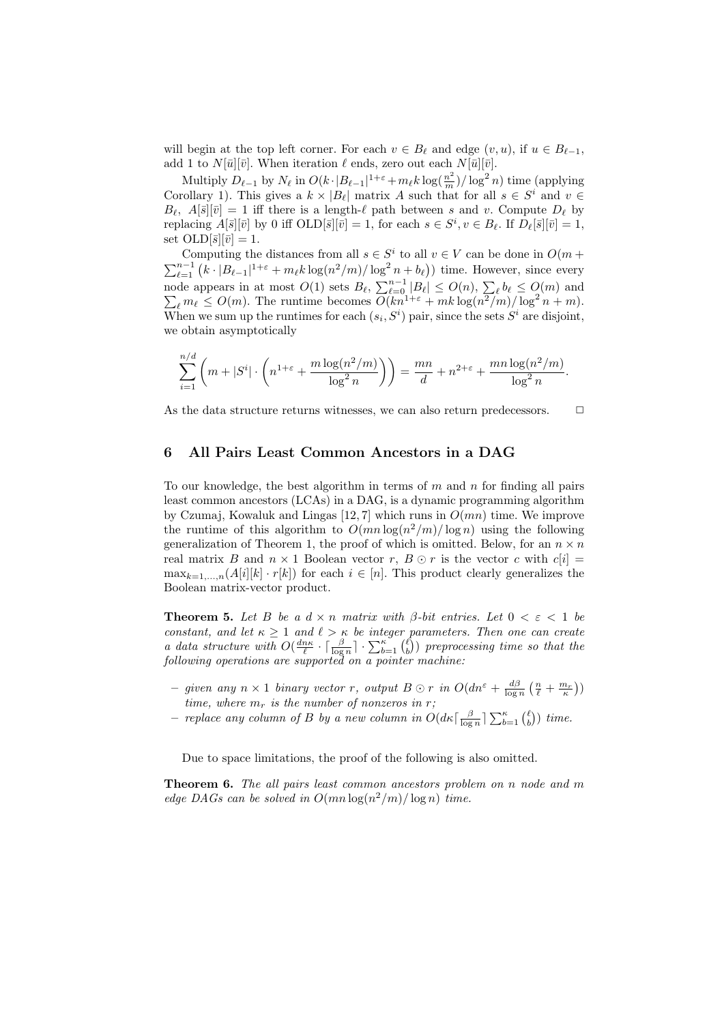will begin at the top left corner. For each  $v \in B_\ell$  and edge  $(v, u)$ , if  $u \in B_{\ell-1}$ , add 1 to  $N[\bar{u}][\bar{v}]$ . When iteration  $\ell$  ends, zero out each  $N[\bar{u}][\bar{v}]$ .

Multiply  $D_{\ell-1}$  by  $N_{\ell}$  in  $O(k \cdot |B_{\ell-1}|^{1+\epsilon} + m_{\ell} k \log(\frac{n^2}{m}) / \log^2 n)$  time (applying Corollary 1). This gives a  $k \times |B_{\ell}|$  matrix A such that for all  $s \in S^i$  and  $v \in$  $B_\ell$ ,  $A[\bar{s}][\bar{v}] = 1$  iff there is a length- $\ell$  path between s and v. Compute  $D_\ell$  by replacing  $A[\bar{s}][\bar{v}]$  by 0 iff  $OLD[\bar{s}][\bar{v}] = 1$ , for each  $s \in S^i, v \in B_\ell$ . If  $D_\ell[\bar{s}][\bar{v}] = 1$ , set  $OLD[\bar{s}][\bar{v}] = 1$ .

Computing the distances from all  $s \in S^i$  to all  $v \in V$  can be done in  $O(m +$  $\sum_{\ell=1}^{n-1} (k \cdot |B_{\ell-1}|^{1+\epsilon} + m_{\ell} k \log(n^2/m) / \log^2 n + b_{\ell})$  time. However, since every node appears in at most  $O(1)$  sets  $B_{\ell}$ ,  $\sum_{\ell=0}^{n-1} |B_{\ell}| \leq O(n)$ ,  $\sum_{\ell} \sum_{\ell}$ <br> $\sum_{\ell} m_{\ell} \leq O(m)$ . The runtime becomes  $O(kn^{1+\varepsilon} + mk \log(n^2))$  $b_{\ell} \leq O(m)$  and  $\ell m_\ell \leq O(m)$ . The runtime becomes  $\overline{O(kn^{1+\varepsilon}+mk\log(n^2/m)/\log^2 n + m)}$ . When we sum up the runtimes for each  $(s_i, S^i)$  pair, since the sets  $S^i$  are disjoint, we obtain asymptotically

$$
\sum_{i=1}^{n/d} \left( m + |S^i| \cdot \left( n^{1+\varepsilon} + \frac{m \log(n^2/m)}{\log^2 n} \right) \right) = \frac{mn}{d} + n^{2+\varepsilon} + \frac{mn \log(n^2/m)}{\log^2 n}.
$$

As the data structure returns witnesses, we can also return predecessors.  $\Box$ 

### 6 All Pairs Least Common Ancestors in a DAG

To our knowledge, the best algorithm in terms of  $m$  and  $n$  for finding all pairs least common ancestors (LCAs) in a DAG, is a dynamic programming algorithm by Czumaj, Kowaluk and Lingas [12, 7] which runs in  $O(mn)$  time. We improve the runtime of this algorithm to  $O(mn \log(n^2/m)/\log n)$  using the following generalization of Theorem 1, the proof of which is omitted. Below, for an  $n \times n$ real matrix B and  $n \times 1$  Boolean vector r,  $B \odot r$  is the vector c with  $c[i] =$  $\max_{k=1,\ldots,n}(A[i][k] \cdot r[k])$  for each  $i \in [n]$ . This product clearly generalizes the Boolean matrix-vector product.

**Theorem 5.** Let B be a  $d \times n$  matrix with β-bit entries. Let  $0 < \varepsilon < 1$  be constant, and let  $\kappa \geq 1$  and  $\ell > \kappa$  be integer parameters. Then one can create a data structure with  $O(\frac{dn\kappa}{\ell}\cdot\lceil\frac{\beta}{\log n}\rceil\cdot\sum_{b=1}^{\kappa} {\ell \choose b})$  preprocessing time so that the following operations are supported on a pointer machine:

- given any  $n \times 1$  binary vector r, output  $B \odot r$  in  $O(dn^{\epsilon} + \frac{d\beta}{\log n} \left( \frac{n}{\ell} + \frac{m_r}{\kappa} \right))$ time, where  $m_r$  is the number of nonzeros in r;
- replace any column of B by a new column in  $O(d\kappa \lceil \frac{\beta}{\log n} \rceil \sum_{b=1}^{\kappa} {\ell \choose b})$  time.

Due to space limitations, the proof of the following is also omitted.

Theorem 6. The all pairs least common ancestors problem on n node and m edge DAGs can be solved in  $O(mn \log(n^2/m) / \log n)$  time.